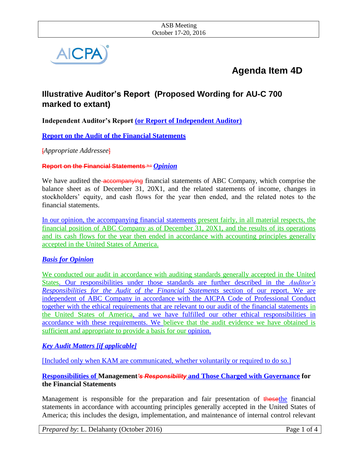

# **Agenda Item 4D**

# **Illustrative Auditor's Report (Proposed Wording for AU-C 700 marked to extant)**

**Independent Auditor's Report (or Report of Independent Auditor)**

**Report on the Audit of the Financial Statements** 

[*Appropriate Addressee*]

**Report on the Financial Statements <b>for 1** *Opinion* 

We have audited the **accompanying** financial statements of ABC Company, which comprise the balance sheet as of December 31, 20X1, and the related statements of income, changes in stockholders' equity, and cash flows for the year then ended, and the related notes to the financial statements.

In our opinion, the accompanying financial statements present fairly, in all material respects, the financial position of ABC Company as of December 31, 20X1, and the results of its operations and its cash flows for the year then ended in accordance with accounting principles generally accepted in the United States of America.

# *Basis for Opinion*

We conducted our audit in accordance with auditing standards generally accepted in the United States. Our responsibilities under those standards are further described in the *Auditor's Responsibilities for the Audit of the Financial Statements* section of our report. We are independent of ABC Company in accordance with the AICPA Code of Professional Conduct together with the ethical requirements that are relevant to our audit of the financial statements in the United States of America, and we have fulfilled our other ethical responsibilities in accordance with these requirements. We believe that the audit evidence we have obtained is sufficient and appropriate to provide a basis for our opinion.

# *Key Audit Matters [if applicable]*

[Included only when KAM are communicated, whether voluntarily or required to do so.]

#### **Responsibilities of Management***'s Responsibility* **and Those Charged with Governance for the Financial Statements**

Management is responsible for the preparation and fair presentation of thesethe financial statements in accordance with accounting principles generally accepted in the United States of America; this includes the design, implementation, and maintenance of internal control relevant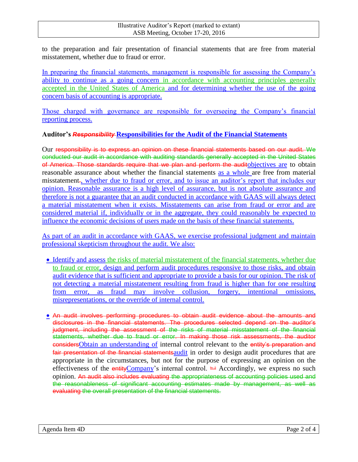to the preparation and fair presentation of financial statements that are free from material misstatement, whether due to fraud or error.

In preparing the financial statements, management is responsible for assessing the Company's ability to continue as a going concern in accordance with accounting principles generally accepted in the United States of America and for determining whether the use of the going concern basis of accounting is appropriate.

Those charged with governance are responsible for overseeing the Company's financial reporting process.

#### **Auditor's** *Responsibility* **Responsibilities for the Audit of the Financial Statements**

Our responsibility is to express an opinion on these financial statements based on our audit. We conducted our audit in accordance with auditing standards generally accepted in the United States of America. Those standards require that we plan and perform the auditobjectives are to obtain reasonable assurance about whether the financial statements as a whole are free from material misstatement., whether due to fraud or error, and to issue an auditor's report that includes our opinion. Reasonable assurance is a high level of assurance, but is not absolute assurance and therefore is not a guarantee that an audit conducted in accordance with GAAS will always detect a material misstatement when it exists. Misstatements can arise from fraud or error and are considered material if, individually or in the aggregate, they could reasonably be expected to influence the economic decisions of users made on the basis of these financial statements.

As part of an audit in accordance with GAAS, we exercise professional judgment and maintain professional skepticism throughout the audit. We also:

- Identify and assess the risks of material misstatement of the financial statements, whether due to fraud or error, design and perform audit procedures responsive to those risks, and obtain audit evidence that is sufficient and appropriate to provide a basis for our opinion. The risk of not detecting a material misstatement resulting from fraud is higher than for one resulting from error, as fraud may involve collusion, forgery, intentional omissions, misrepresentations, or the override of internal control.
- An audit involves performing procedures to obtain audit evidence about the amounts and disclosures in the financial statements. The procedures selected depend on the auditor's judgment, including the assessment of the risks of material misstatement of the financial statements, whether due to fraud or error. In making those risk assessments, the auditor considersObtain an understanding of internal control relevant to the entity's preparation and fair presentation of the financial statements audit in order to design audit procedures that are appropriate in the circumstances, but not for the purpose of expressing an opinion on the effectiveness of the entityCompany's internal control.  $\triangleq$  Accordingly, we express no such opinion. An audit also includes evaluating the appropriateness of accounting policies used and the reasonableness of significant accounting estimates made by management, as well as evaluating the overall presentation of the financial statements.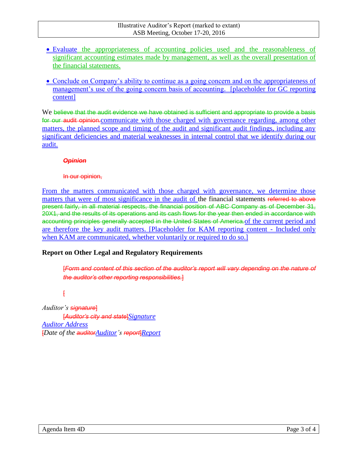- Evaluate the appropriateness of accounting policies used and the reasonableness of significant accounting estimates made by management, as well as the overall presentation of the financial statements.
- Conclude on Company's ability to continue as a going concern and on the appropriateness of management's use of the going concern basis of accounting. [placeholder for GC reporting content]

We believe that the audit evidence we have obtained is sufficient and appropriate to provide a basis for our audit opinion.communicate with those charged with governance regarding, among other matters, the planned scope and timing of the audit and significant audit findings, including any significant deficiencies and material weaknesses in internal control that we identify during our audit.

#### *Opinion*

#### In our opinion,

From the matters communicated with those charged with governance, we determine those matters that were of most significance in the audit of the financial statements referred to above present fairly, in all material respects, the financial position of ABC Company as of December 31, 20X1, and the results of its operations and its cash flows for the year then ended in accordance with accounting principles generally accepted in the United States of America. of the current period and are therefore the key audit matters. [Placeholder for KAM reporting content - Included only when KAM are communicated, whether voluntarily or required to do so.]

# **Report on Other Legal and Regulatory Requirements**

[*Form and content of this section of the auditor's report will vary depending on the nature of the auditor's other reporting responsibilities.*]

 $\overline{f}$ 

*Auditor's signature*]

[*Auditor's city and state*]*Signature Auditor Address* [*Date of the auditorAuditor's report*]*Report*